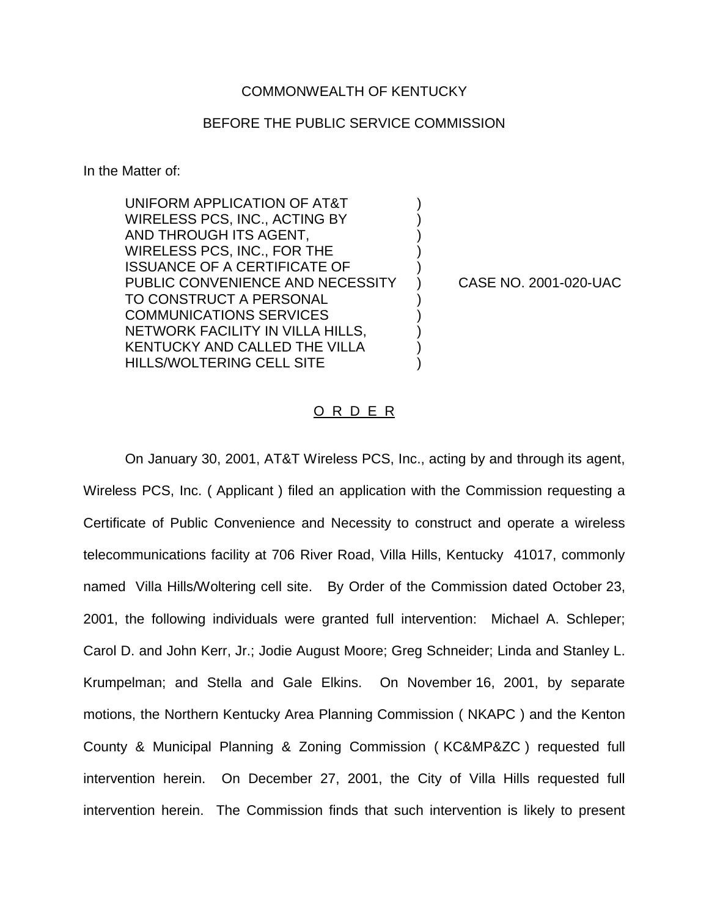## COMMONWEALTH OF KENTUCKY

## BEFORE THE PUBLIC SERVICE COMMISSION

In the Matter of:

UNIFORM APPLICATION OF AT&T WIRELESS PCS, INC., ACTING BY AND THROUGH ITS AGENT, WIRELESS PCS, INC., FOR THE ) ISSUANCE OF A CERTIFICATE OF ) PUBLIC CONVENIENCE AND NECESSITY ) CASE NO. 2001-020-UAC TO CONSTRUCT A PERSONAL COMMUNICATIONS SERVICES ) NETWORK FACILITY IN VILLA HILLS, KENTUCKY AND CALLED THE VILLA HILLS/WOLTERING CELL SITE )

## O R D E R

On January 30, 2001, AT&T Wireless PCS, Inc., acting by and through its agent, Wireless PCS, Inc. ( Applicant ) filed an application with the Commission requesting a Certificate of Public Convenience and Necessity to construct and operate a wireless telecommunications facility at 706 River Road, Villa Hills, Kentucky 41017, commonly named Villa Hills/Woltering cell site. By Order of the Commission dated October 23, 2001, the following individuals were granted full intervention: Michael A. Schleper; Carol D. and John Kerr, Jr.; Jodie August Moore; Greg Schneider; Linda and Stanley L. Krumpelman; and Stella and Gale Elkins. On November 16, 2001, by separate motions, the Northern Kentucky Area Planning Commission ( NKAPC ) and the Kenton County & Municipal Planning & Zoning Commission ( KC&MP&ZC ) requested full intervention herein. On December 27, 2001, the City of Villa Hills requested full intervention herein. The Commission finds that such intervention is likely to present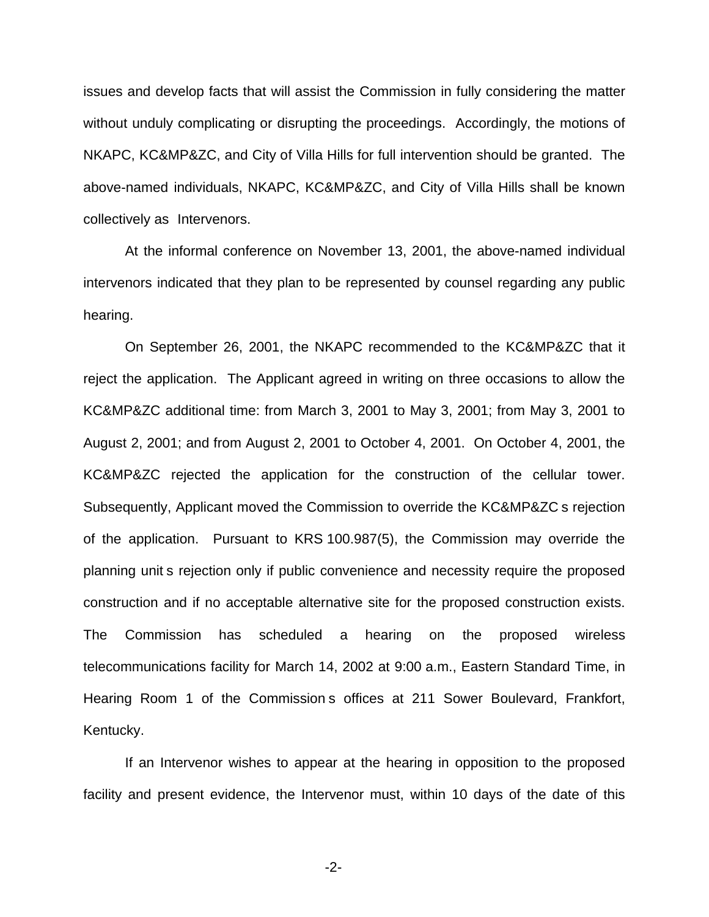issues and develop facts that will assist the Commission in fully considering the matter without unduly complicating or disrupting the proceedings. Accordingly, the motions of NKAPC, KC&MP&ZC, and City of Villa Hills for full intervention should be granted. The above-named individuals, NKAPC, KC&MP&ZC, and City of Villa Hills shall be known collectively as Intervenors.

At the informal conference on November 13, 2001, the above-named individual intervenors indicated that they plan to be represented by counsel regarding any public hearing.

On September 26, 2001, the NKAPC recommended to the KC&MP&ZC that it reject the application. The Applicant agreed in writing on three occasions to allow the KC&MP&ZC additional time: from March 3, 2001 to May 3, 2001; from May 3, 2001 to August 2, 2001; and from August 2, 2001 to October 4, 2001. On October 4, 2001, the KC&MP&ZC rejected the application for the construction of the cellular tower. Subsequently, Applicant moved the Commission to override the KC&MP&ZC s rejection of the application. Pursuant to KRS 100.987(5), the Commission may override the planning unit s rejection only if public convenience and necessity require the proposed construction and if no acceptable alternative site for the proposed construction exists. The Commission has scheduled a hearing on the proposed wireless telecommunications facility for March 14, 2002 at 9:00 a.m., Eastern Standard Time, in Hearing Room 1 of the Commission s offices at 211 Sower Boulevard, Frankfort, Kentucky.

If an Intervenor wishes to appear at the hearing in opposition to the proposed facility and present evidence, the Intervenor must, within 10 days of the date of this

-2-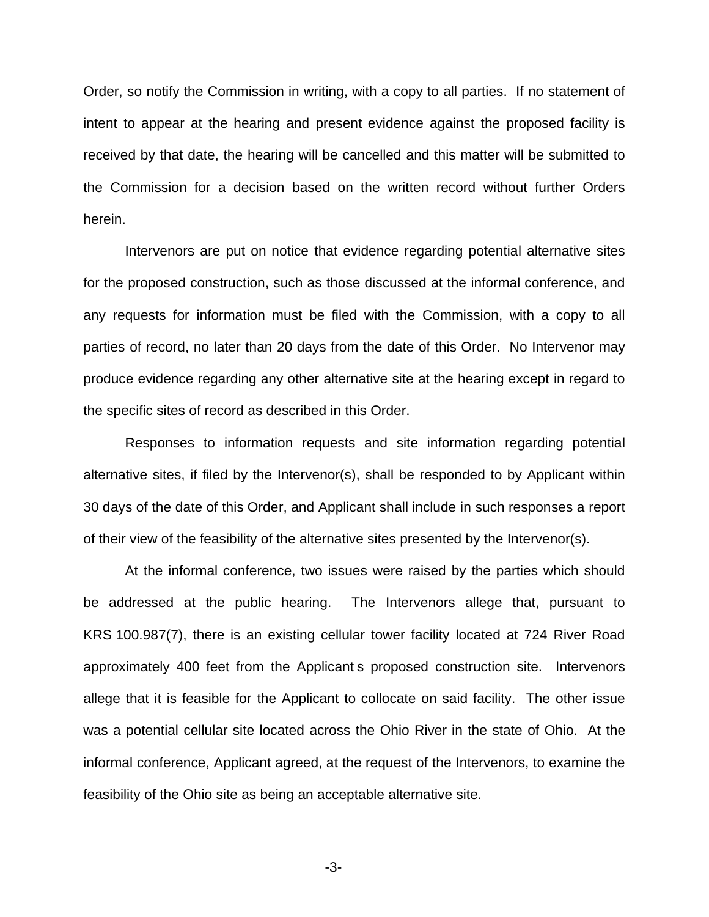Order, so notify the Commission in writing, with a copy to all parties. If no statement of intent to appear at the hearing and present evidence against the proposed facility is received by that date, the hearing will be cancelled and this matter will be submitted to the Commission for a decision based on the written record without further Orders herein.

Intervenors are put on notice that evidence regarding potential alternative sites for the proposed construction, such as those discussed at the informal conference, and any requests for information must be filed with the Commission, with a copy to all parties of record, no later than 20 days from the date of this Order. No Intervenor may produce evidence regarding any other alternative site at the hearing except in regard to the specific sites of record as described in this Order.

Responses to information requests and site information regarding potential alternative sites, if filed by the Intervenor(s), shall be responded to by Applicant within 30 days of the date of this Order, and Applicant shall include in such responses a report of their view of the feasibility of the alternative sites presented by the Intervenor(s).

At the informal conference, two issues were raised by the parties which should be addressed at the public hearing. The Intervenors allege that, pursuant to KRS 100.987(7), there is an existing cellular tower facility located at 724 River Road approximately 400 feet from the Applicant s proposed construction site. Intervenors allege that it is feasible for the Applicant to collocate on said facility. The other issue was a potential cellular site located across the Ohio River in the state of Ohio. At the informal conference, Applicant agreed, at the request of the Intervenors, to examine the feasibility of the Ohio site as being an acceptable alternative site.

-3-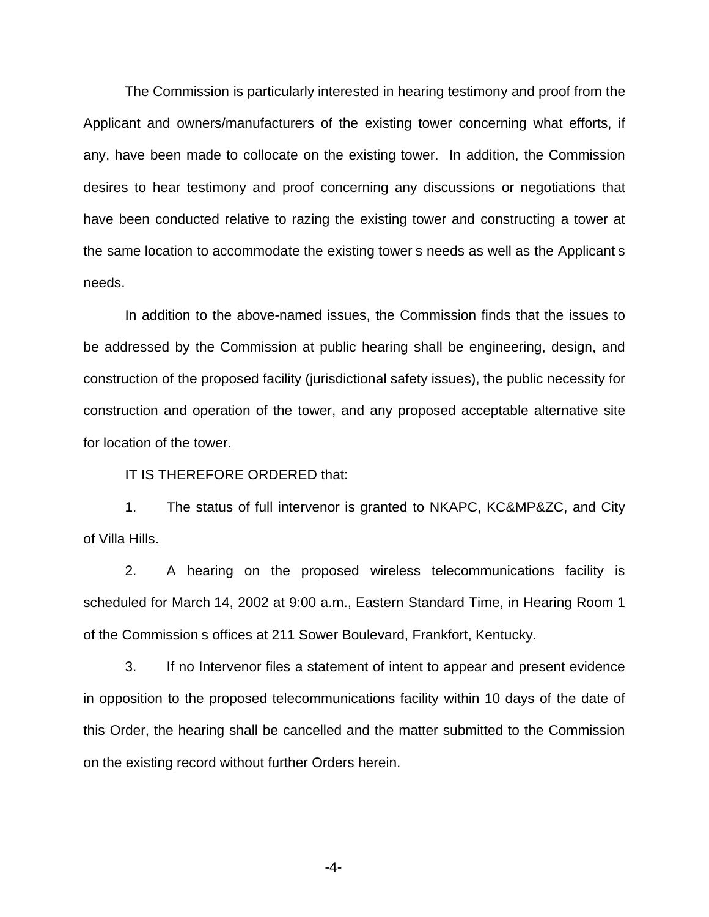The Commission is particularly interested in hearing testimony and proof from the Applicant and owners/manufacturers of the existing tower concerning what efforts, if any, have been made to collocate on the existing tower. In addition, the Commission desires to hear testimony and proof concerning any discussions or negotiations that have been conducted relative to razing the existing tower and constructing a tower at the same location to accommodate the existing tower s needs as well as the Applicant s needs.

In addition to the above-named issues, the Commission finds that the issues to be addressed by the Commission at public hearing shall be engineering, design, and construction of the proposed facility (jurisdictional safety issues), the public necessity for construction and operation of the tower, and any proposed acceptable alternative site for location of the tower.

IT IS THEREFORE ORDERED that:

1. The status of full intervenor is granted to NKAPC, KC&MP&ZC, and City of Villa Hills.

2. A hearing on the proposed wireless telecommunications facility is scheduled for March 14, 2002 at 9:00 a.m., Eastern Standard Time, in Hearing Room 1 of the Commission s offices at 211 Sower Boulevard, Frankfort, Kentucky.

3. If no Intervenor files a statement of intent to appear and present evidence in opposition to the proposed telecommunications facility within 10 days of the date of this Order, the hearing shall be cancelled and the matter submitted to the Commission on the existing record without further Orders herein.

-4-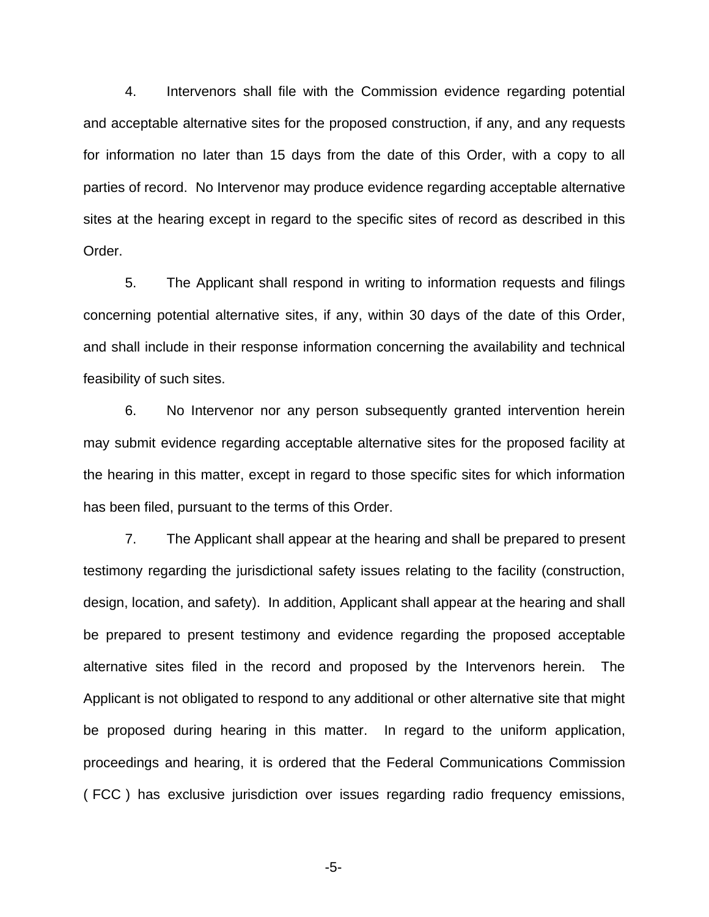4. Intervenors shall file with the Commission evidence regarding potential and acceptable alternative sites for the proposed construction, if any, and any requests for information no later than 15 days from the date of this Order, with a copy to all parties of record. No Intervenor may produce evidence regarding acceptable alternative sites at the hearing except in regard to the specific sites of record as described in this Order.

5. The Applicant shall respond in writing to information requests and filings concerning potential alternative sites, if any, within 30 days of the date of this Order, and shall include in their response information concerning the availability and technical feasibility of such sites.

6. No Intervenor nor any person subsequently granted intervention herein may submit evidence regarding acceptable alternative sites for the proposed facility at the hearing in this matter, except in regard to those specific sites for which information has been filed, pursuant to the terms of this Order.

7. The Applicant shall appear at the hearing and shall be prepared to present testimony regarding the jurisdictional safety issues relating to the facility (construction, design, location, and safety). In addition, Applicant shall appear at the hearing and shall be prepared to present testimony and evidence regarding the proposed acceptable alternative sites filed in the record and proposed by the Intervenors herein. The Applicant is not obligated to respond to any additional or other alternative site that might be proposed during hearing in this matter. In regard to the uniform application, proceedings and hearing, it is ordered that the Federal Communications Commission ( FCC ) has exclusive jurisdiction over issues regarding radio frequency emissions,

-5-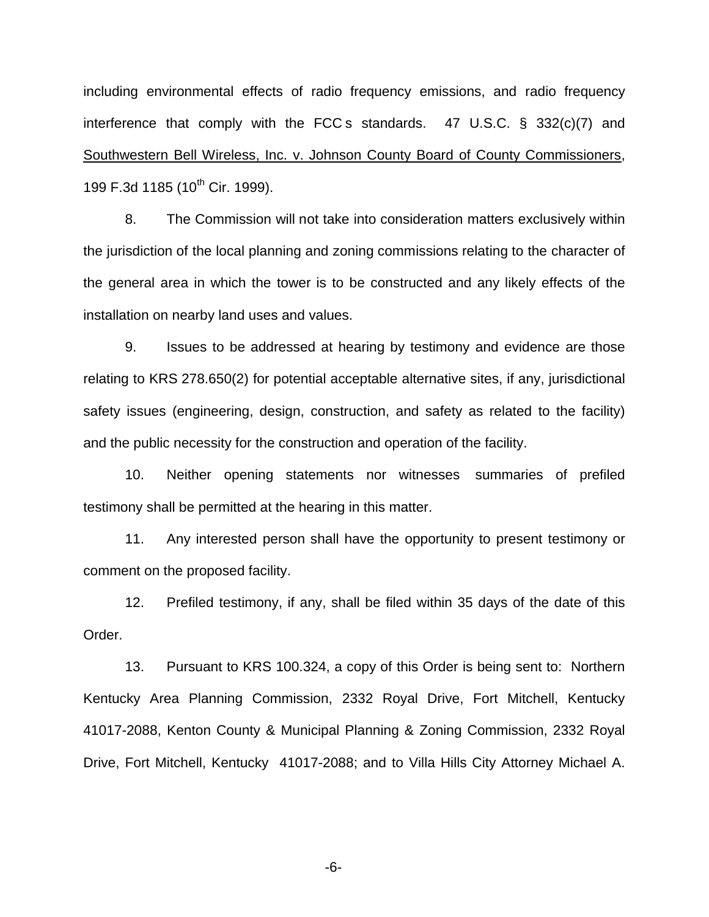including environmental effects of radio frequency emissions, and radio frequency interference that comply with the FCC s standards. 47 U.S.C. § 332(c)(7) and Southwestern Bell Wireless, Inc. v. Johnson County Board of County Commissioners, 199 F.3d 1185 (10<sup>th</sup> Cir. 1999).

8. The Commission will not take into consideration matters exclusively within the jurisdiction of the local planning and zoning commissions relating to the character of the general area in which the tower is to be constructed and any likely effects of the installation on nearby land uses and values.

9. Issues to be addressed at hearing by testimony and evidence are those relating to KRS 278.650(2) for potential acceptable alternative sites, if any, jurisdictional safety issues (engineering, design, construction, and safety as related to the facility) and the public necessity for the construction and operation of the facility.

10. Neither opening statements nor witnesses summaries of prefiled testimony shall be permitted at the hearing in this matter.

11. Any interested person shall have the opportunity to present testimony or comment on the proposed facility.

12. Prefiled testimony, if any, shall be filed within 35 days of the date of this Order.

13. Pursuant to KRS 100.324, a copy of this Order is being sent to: Northern Kentucky Area Planning Commission, 2332 Royal Drive, Fort Mitchell, Kentucky 41017-2088, Kenton County & Municipal Planning & Zoning Commission, 2332 Royal Drive, Fort Mitchell, Kentucky 41017-2088; and to Villa Hills City Attorney Michael A.

-6-